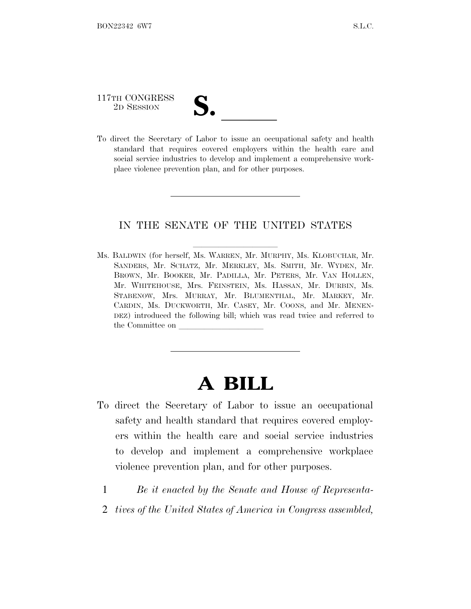# 117TH CONGRESS 117TH CONGRESS<br>
2D SESSION<br>
To direct the Secretary of Labor to issue an occupational safety and health

standard that requires covered employers within the health care and social service industries to develop and implement a comprehensive workplace violence prevention plan, and for other purposes.

#### IN THE SENATE OF THE UNITED STATES

Ms. BALDWIN (for herself, Ms. WARREN, Mr. MURPHY, Ms. KLOBUCHAR, Mr. SANDERS, Mr. SCHATZ, Mr. MERKLEY, Ms. SMITH, Mr. WYDEN, Mr. BROWN, Mr. BOOKER, Mr. PADILLA, Mr. PETERS, Mr. VAN HOLLEN, Mr. WHITEHOUSE, Mrs. FEINSTEIN, Ms. HASSAN, Mr. DURBIN, Ms. STABENOW, Mrs. MURRAY, Mr. BLUMENTHAL, Mr. MARKEY, Mr. CARDIN, Ms. DUCKWORTH, Mr. CASEY, Mr. COONS, and Mr. MENEN-DEZ) introduced the following bill; which was read twice and referred to the Committee on

## **A BILL**

- To direct the Secretary of Labor to issue an occupational safety and health standard that requires covered employers within the health care and social service industries to develop and implement a comprehensive workplace violence prevention plan, and for other purposes.
	- 1 *Be it enacted by the Senate and House of Representa-*
	- 2 *tives of the United States of America in Congress assembled,*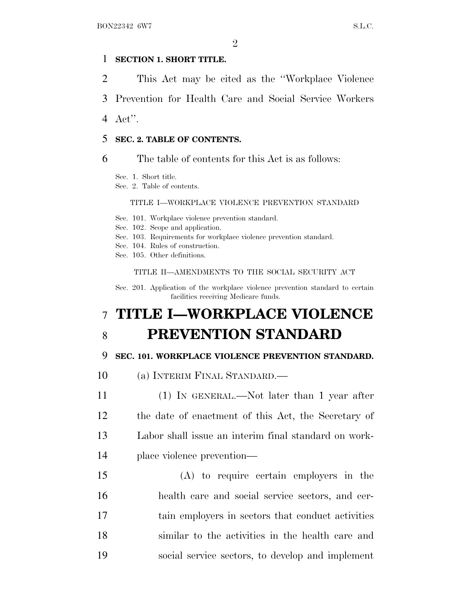#### 1 **SECTION 1. SHORT TITLE.**

2 This Act may be cited as the ''Workplace Violence

3 Prevention for Health Care and Social Service Workers

4 Act''.

#### 5 **SEC. 2. TABLE OF CONTENTS.**

6 The table of contents for this Act is as follows:

Sec. 1. Short title.

Sec. 2. Table of contents.

#### TITLE I—WORKPLACE VIOLENCE PREVENTION STANDARD

Sec. 101. Workplace violence prevention standard.

Sec. 102. Scope and application.

- Sec. 103. Requirements for workplace violence prevention standard.
- Sec. 104. Rules of construction.
- Sec. 105. Other definitions.

TITLE II—AMENDMENTS TO THE SOCIAL SECURITY ACT

Sec. 201. Application of the workplace violence prevention standard to certain facilities receiving Medicare funds.

### 7 **TITLE I—WORKPLACE VIOLENCE** 8 **PREVENTION STANDARD**

#### 9 **SEC. 101. WORKPLACE VIOLENCE PREVENTION STANDARD.**

10 (a) INTERIM FINAL STANDARD.—

- 11 (1) IN GENERAL.—Not later than 1 year after 12 the date of enactment of this Act, the Secretary of 13 Labor shall issue an interim final standard on work-14 place violence prevention—
- 15 (A) to require certain employers in the 16 health care and social service sectors, and cer-17 tain employers in sectors that conduct activities 18 similar to the activities in the health care and 19 social service sectors, to develop and implement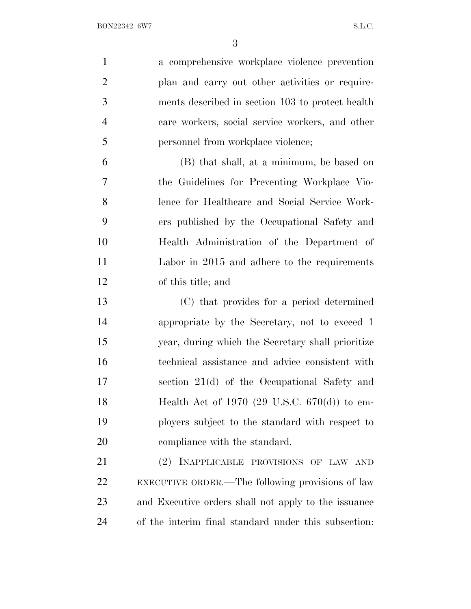| $\mathbf{1}$   | a comprehensive workplace violence prevention        |
|----------------|------------------------------------------------------|
| $\overline{2}$ | plan and carry out other activities or require-      |
| 3              | ments described in section 103 to protect health     |
| $\overline{4}$ | care workers, social service workers, and other      |
| 5              | personnel from workplace violence;                   |
| 6              | (B) that shall, at a minimum, be based on            |
| $\overline{7}$ | the Guidelines for Preventing Workplace Vio-         |
| 8              | lence for Healthcare and Social Service Work-        |
| 9              | ers published by the Occupational Safety and         |
| 10             | Health Administration of the Department of           |
| 11             | Labor in 2015 and adhere to the requirements         |
| 12             | of this title; and                                   |
| 13             | (C) that provides for a period determined            |
| 14             | appropriate by the Secretary, not to exceed 1        |
| 15             | year, during which the Secretary shall prioritize    |
| 16             | technical assistance and advice consistent with      |
| 17             | section 21(d) of the Occupational Safety and         |
| 18             | Health Act of 1970 (29 U.S.C. $670(d)$ ) to em-      |
| 19             | ployers subject to the standard with respect to      |
| <b>20</b>      | compliance with the standard.                        |
| 21             | (2) INAPPLICABLE PROVISIONS OF LAW AND               |
| 22             | EXECUTIVE ORDER.—The following provisions of law     |
| 23             | and Executive orders shall not apply to the issuance |
| 24             | of the interim final standard under this subsection. |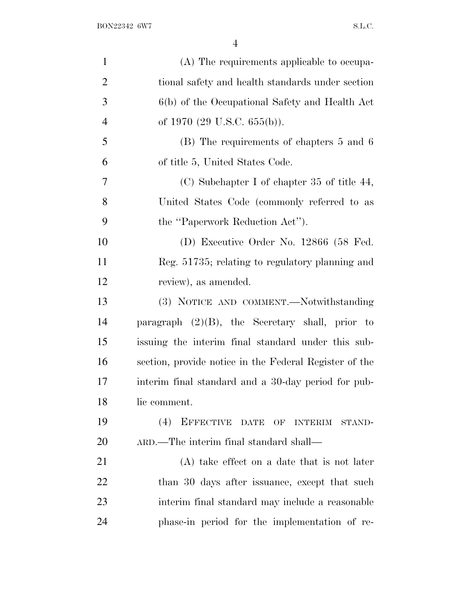| $\mathbf{1}$   | (A) The requirements applicable to occupa-             |
|----------------|--------------------------------------------------------|
| $\overline{2}$ | tional safety and health standards under section       |
| 3              | 6(b) of the Occupational Safety and Health Act         |
| $\overline{4}$ | of 1970 $(29 \text{ U.S.C. } 655(b))$ .                |
| 5              | (B) The requirements of chapters 5 and 6               |
| 6              | of title 5, United States Code.                        |
| 7              | (C) Subchapter I of chapter 35 of title 44,            |
| 8              | United States Code (commonly referred to as            |
| 9              | the "Paperwork Reduction Act").                        |
| 10             | (D) Executive Order No. 12866 (58 Fed.                 |
| 11             | Reg. 51735; relating to regulatory planning and        |
| 12             | review), as amended.                                   |
| 13             | (3) NOTICE AND COMMENT.—Notwithstanding                |
| 14             | paragraph $(2)(B)$ , the Secretary shall, prior to     |
| 15             | issuing the interim final standard under this sub-     |
| 16             | section, provide notice in the Federal Register of the |
| 17             | interim final standard and a 30-day period for pub-    |
| 18             | lic comment.                                           |
| 19             | (4)<br>EFFECTIVE DATE OF INTERIM<br>STAND-             |
| 20             | ARD.—The interim final standard shall—                 |
| 21             | $(A)$ take effect on a date that is not later          |
| <u>22</u>      | than 30 days after issuance, except that such          |
| 23             | interim final standard may include a reasonable        |
| 24             | phase-in period for the implementation of re-          |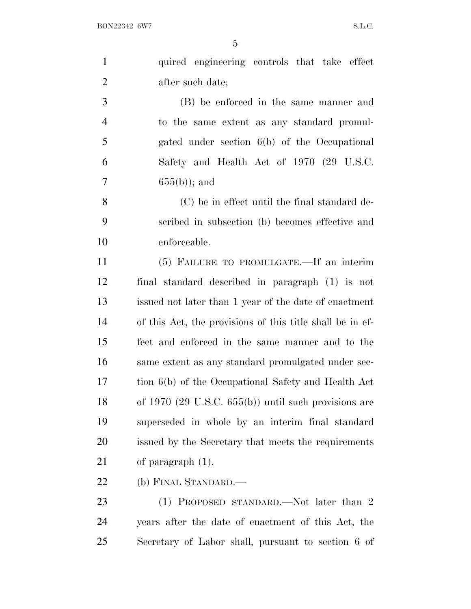| $\mathbf{1}$   | quired engineering controls that take effect                      |
|----------------|-------------------------------------------------------------------|
| $\overline{2}$ | after such date;                                                  |
| 3              | (B) be enforced in the same manner and                            |
| $\overline{4}$ | to the same extent as any standard promul-                        |
| 5              | gated under section 6(b) of the Occupational                      |
| 6              | Safety and Health Act of 1970 (29 U.S.C.                          |
| 7              | $655(b)$ ; and                                                    |
| 8              | (C) be in effect until the final standard de-                     |
| 9              | scribed in subsection (b) becomes effective and                   |
| 10             | enforceable.                                                      |
| 11             | (5) FAILURE TO PROMULGATE.—If an interim                          |
| 12             | final standard described in paragraph (1) is not                  |
| 13             | issued not later than 1 year of the date of enactment             |
| 14             | of this Act, the provisions of this title shall be in ef-         |
| 15             | fect and enforced in the same manner and to the                   |
| 16             | same extent as any standard promulgated under sec-                |
| 17             | tion 6(b) of the Occupational Safety and Health Act               |
| 18             | of $1970$ $(29 \text{ U.S.C. } 655(b))$ until such provisions are |
| 19             | superseded in whole by an interim final standard                  |
| <b>20</b>      | issued by the Secretary that meets the requirements               |
| 21             | of paragraph $(1)$ .                                              |
| 22             | (b) FINAL STANDARD.—                                              |
| 23             | (1) PROPOSED STANDARD.—Not later than 2                           |
| 24             | years after the date of enactment of this Act, the                |

Secretary of Labor shall, pursuant to section 6 of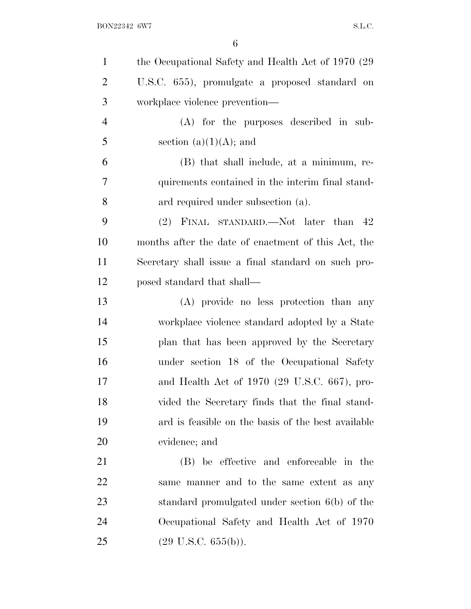| $\mathbf{1}$   | the Occupational Safety and Health Act of 1970 (29) |
|----------------|-----------------------------------------------------|
| $\overline{2}$ | U.S.C. 655), promulgate a proposed standard on      |
| 3              | workplace violence prevention—                      |
| $\overline{4}$ | (A) for the purposes described in sub-              |
| 5              | section $(a)(1)(A)$ ; and                           |
| 6              | (B) that shall include, at a minimum, re-           |
| 7              | quirements contained in the interim final stand-    |
| 8              | ard required under subsection (a).                  |
| 9              | (2) FINAL STANDARD.—Not later than 42               |
| 10             | months after the date of enactment of this Act, the |
| 11             | Secretary shall issue a final standard on such pro- |
| 12             | posed standard that shall—                          |
| 13             | (A) provide no less protection than any             |
| 14             | workplace violence standard adopted by a State      |
| 15             | plan that has been approved by the Secretary        |
| 16             | under section 18 of the Occupational Safety         |
| 17             | and Health Act of 1970 (29 U.S.C. 667), pro-        |
| 18             | vided the Secretary finds that the final stand-     |
| 19             | ard is feasible on the basis of the best available  |
| 20             | evidence; and                                       |
| 21             | (B) be effective and enforceable in the             |
| 22             | same manner and to the same extent as any           |
| 23             | standard promulgated under section 6(b) of the      |
| 24             | Occupational Safety and Health Act of 1970          |
| 25             | $(29 \text{ U.S.C. } 655(b)).$                      |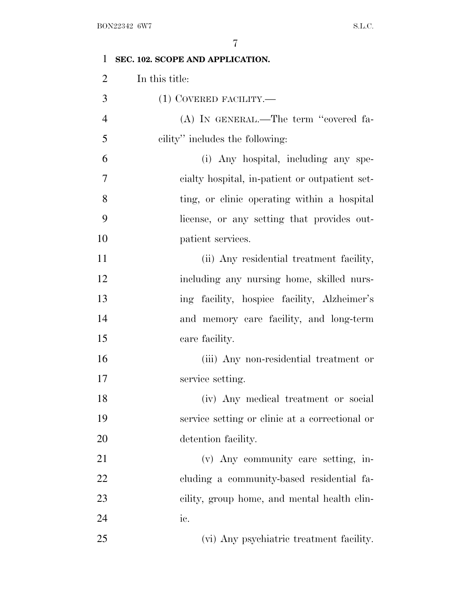| $\mathbf{1}$   | SEC. 102. SCOPE AND APPLICATION.               |
|----------------|------------------------------------------------|
| $\overline{2}$ | In this title:                                 |
| 3              | $(1)$ COVERED FACILITY.—                       |
| $\overline{4}$ | (A) IN GENERAL.—The term "covered fa-          |
| 5              | cility" includes the following:                |
| 6              | (i) Any hospital, including any spe-           |
| 7              | cialty hospital, in-patient or outpatient set- |
| 8              | ting, or clinic operating within a hospital    |
| 9              | license, or any setting that provides out-     |
| 10             | patient services.                              |
| 11             | (ii) Any residential treatment facility,       |
| 12             | including any nursing home, skilled nurs-      |
| 13             | ing facility, hospice facility, Alzheimer's    |
| 14             | and memory care facility, and long-term        |
| 15             | care facility.                                 |
| 16             | (iii) Any non-residential treatment or         |
| 17             | service setting.                               |
| 18             | (iv) Any medical treatment or social           |
| 19             | service setting or clinic at a correctional or |
| 20             | detention facility.                            |
| 21             | (v) Any community care setting, in-            |
| 22             | cluding a community-based residential fa-      |
| 23             | cility, group home, and mental health clin-    |
| 24             | ic.                                            |
| 25             | (vi) Any psychiatric treatment facility.       |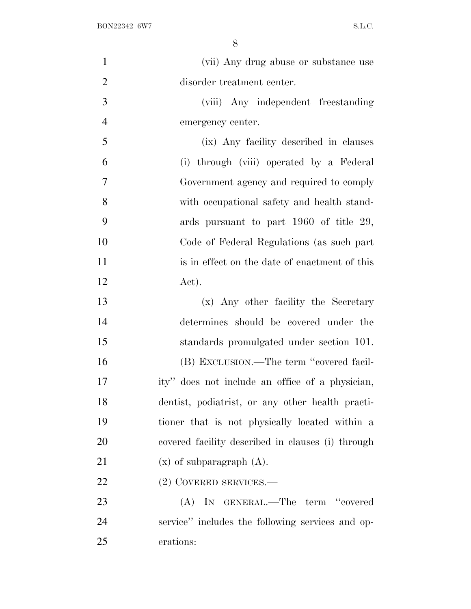| $\mathbf{1}$   | (vii) Any drug abuse or substance use             |
|----------------|---------------------------------------------------|
| $\overline{2}$ | disorder treatment center.                        |
| 3              | (viii) Any independent freestanding               |
| $\overline{4}$ | emergency center.                                 |
| 5              | (ix) Any facility described in clauses            |
| 6              | (i) through (viii) operated by a Federal          |
| $\overline{7}$ | Government agency and required to comply          |
| 8              | with occupational safety and health stand-        |
| 9              | ards pursuant to part 1960 of title 29,           |
| 10             | Code of Federal Regulations (as such part         |
| 11             | is in effect on the date of enactment of this     |
| 12             | Act).                                             |
| 13             | (x) Any other facility the Secretary              |
| 14             | determines should be covered under the            |
| 15             | standards promulgated under section 101.          |
| 16             | (B) EXCLUSION.—The term "covered facil-           |
| 17             | ity" does not include an office of a physician,   |
| 18             | dentist, podiatrist, or any other health practi-  |
| 19             | tioner that is not physically located within a    |
| 20             | covered facility described in clauses (i) through |
| 21             | $(x)$ of subparagraph $(A)$ .                     |
| 22             | (2) COVERED SERVICES.—                            |
| 23             | (A) IN GENERAL.—The term "covered                 |
| 24             | service" includes the following services and op-  |
| 25             | erations:                                         |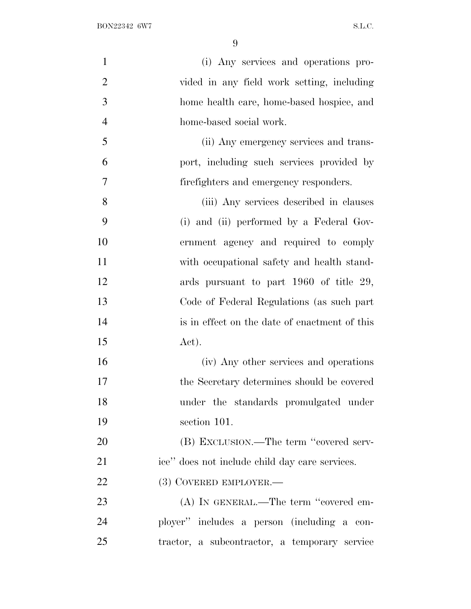| $\mathbf{1}$   | (i) Any services and operations pro-           |
|----------------|------------------------------------------------|
| $\overline{2}$ | vided in any field work setting, including     |
| 3              | home health care, home-based hospice, and      |
| $\overline{4}$ | home-based social work.                        |
| 5              | (ii) Any emergency services and trans-         |
| 6              | port, including such services provided by      |
| 7              | firefighters and emergency responders.         |
| 8              | (iii) Any services described in clauses        |
| 9              | (i) and (ii) performed by a Federal Gov-       |
| 10             | ernment agency and required to comply          |
| 11             | with occupational safety and health stand-     |
| 12             | ards pursuant to part 1960 of title 29,        |
| 13             | Code of Federal Regulations (as such part      |
| 14             | is in effect on the date of enactment of this  |
| 15             | Act).                                          |
| 16             | (iv) Any other services and operations         |
| 17             | the Secretary determines should be covered     |
| 18             | under the standards promulgated under          |
| 19             | section 101.                                   |
| 20             | (B) EXCLUSION.—The term "covered serv-         |
| 21             | ice" does not include child day care services. |
| 22             | (3) COVERED EMPLOYER.—                         |
| 23             | (A) IN GENERAL.—The term "covered em-          |
| 24             | ployer" includes a person (including a con-    |
| 25             | tractor, a subcontractor, a temporary service  |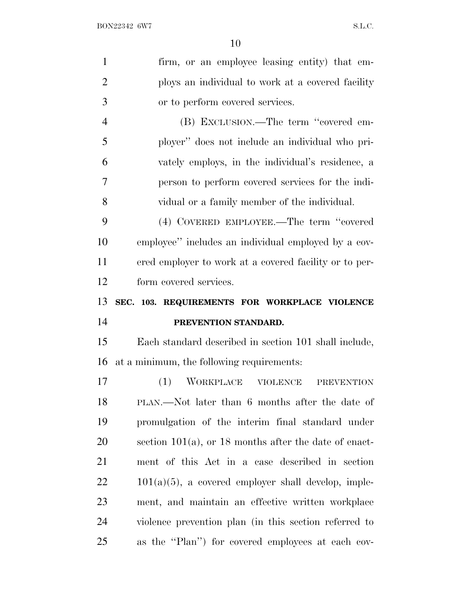| $\mathbf{1}$   | firm, or an employee leasing entity) that em-            |
|----------------|----------------------------------------------------------|
| $\overline{2}$ | ploys an individual to work at a covered facility        |
| 3              | or to perform covered services.                          |
| $\overline{4}$ | (B) EXCLUSION.—The term "covered em-                     |
| 5              | ployer" does not include an individual who pri-          |
| 6              | vately employs, in the individual's residence, a         |
| 7              | person to perform covered services for the indi-         |
| 8              | vidual or a family member of the individual.             |
| 9              | (4) COVERED EMPLOYEE.—The term "covered                  |
| 10             | employee" includes an individual employed by a cov-      |
| 11             | ered employer to work at a covered facility or to per-   |
| 12             | form covered services.                                   |
|                |                                                          |
| 13             | SEC. 103. REQUIREMENTS FOR WORKPLACE VIOLENCE            |
| 14             | PREVENTION STANDARD.                                     |
| 15             | Each standard described in section 101 shall include,    |
| 16             | at a minimum, the following requirements:                |
| 17             | WORKPLACE<br>(1)<br><b>VIOLENCE</b><br><b>PREVENTION</b> |
| 18             | PLAN.—Not later than 6 months after the date of          |
| 19             | promulgation of the interim final standard under         |
| 20             | section 101(a), or 18 months after the date of enact-    |
| 21             | ment of this Act in a case described in section          |
| 22             | $101(a)(5)$ , a covered employer shall develop, imple-   |
| 23             | ment, and maintain an effective written workplace        |
| 24             | violence prevention plan (in this section referred to    |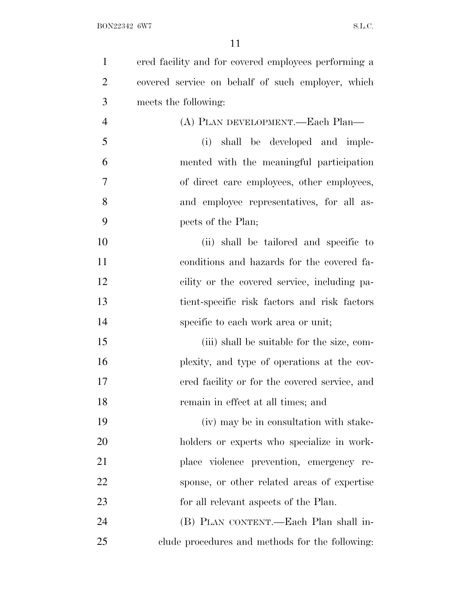| $\mathbf{1}$   | ered facility and for covered employees performing a |
|----------------|------------------------------------------------------|
| $\overline{2}$ | covered service on behalf of such employer, which    |
| 3              | meets the following:                                 |
| $\overline{4}$ | (A) PLAN DEVELOPMENT.—Each Plan—                     |
| 5              | shall be developed and imple-<br>(i)                 |
| 6              | mented with the meaningful participation             |
| 7              | of direct care employees, other employees,           |
| 8              | and employee representatives, for all as-            |
| 9              | pects of the Plan;                                   |
| 10             | (ii) shall be tailored and specific to               |
| 11             | conditions and hazards for the covered fa-           |
| 12             | cility or the covered service, including pa-         |
| 13             | tient-specific risk factors and risk factors         |
| 14             | specific to each work area or unit;                  |
| 15             | (iii) shall be suitable for the size, com-           |
| 16             | plexity, and type of operations at the cov-          |
| 17             | ered facility or for the covered service, and        |
| 18             | remain in effect at all times; and                   |
| 19             | (iv) may be in consultation with stake-              |
| 20             | holders or experts who specialize in work-           |
| 21             | place violence prevention, emergency re-             |
| 22             | sponse, or other related areas of expertise          |
| 23             | for all relevant aspects of the Plan.                |
| 24             | (B) PLAN CONTENT.—Each Plan shall in-                |
| 25             | clude procedures and methods for the following:      |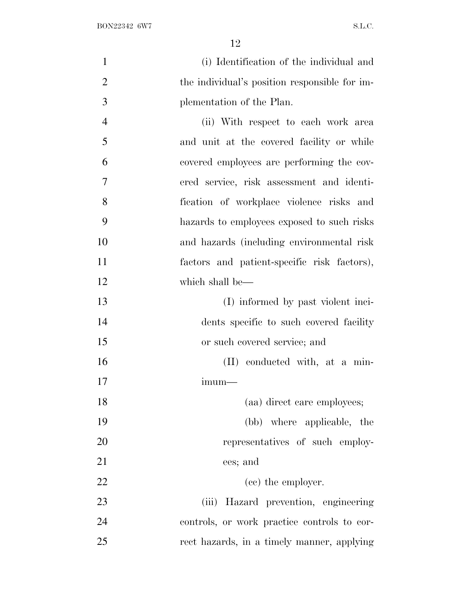| $\mathbf{1}$   | (i) Identification of the individual and      |
|----------------|-----------------------------------------------|
| $\overline{2}$ | the individual's position responsible for im- |
| 3              | plementation of the Plan.                     |
| $\overline{4}$ | (ii) With respect to each work area           |
| 5              | and unit at the covered facility or while     |
| 6              | covered employees are performing the cov-     |
| 7              | ered service, risk assessment and identi-     |
| 8              | fication of workplace violence risks and      |
| 9              | hazards to employees exposed to such risks    |
| 10             | and hazards (including environmental risk     |
| 11             | factors and patient-specific risk factors),   |
| 12             | which shall be—                               |
| 13             | (I) informed by past violent inci-            |
| 14             | dents specific to such covered facility       |
| 15             | or such covered service; and                  |
| 16             | (II) conducted with, at a min-                |
| 17             | $imum-$                                       |
| 18             | (aa) direct care employees;                   |
| 19             | (bb) where applicable, the                    |
| 20             | representatives of such employ-               |
| 21             | ees; and                                      |
| 22             | (cc) the employer.                            |
| 23             | (iii) Hazard prevention, engineering          |
| 24             | controls, or work practice controls to cor-   |
| 25             | rect hazards, in a timely manner, applying    |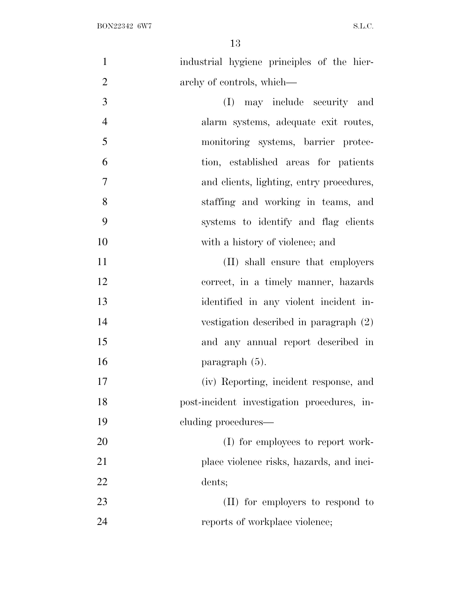| $\mathbf{1}$   | industrial hygiene principles of the hier-  |
|----------------|---------------------------------------------|
| $\overline{2}$ | archy of controls, which—                   |
| 3              | (I) may include security and                |
| $\overline{4}$ | alarm systems, adequate exit routes,        |
| 5              | monitoring systems, barrier protec-         |
| 6              | tion, established areas for patients        |
| $\overline{7}$ | and clients, lighting, entry procedures,    |
| 8              | staffing and working in teams, and          |
| 9              | systems to identify and flag clients        |
| 10             | with a history of violence; and             |
| 11             | (II) shall ensure that employers            |
| 12             | correct, in a timely manner, hazards        |
| 13             | identified in any violent incident in-      |
| 14             | vestigation described in paragraph (2)      |
| 15             | and any annual report described in          |
| 16             | paragraph (5).                              |
| 17             | (iv) Reporting, incident response, and      |
| 18             | post-incident investigation procedures, in- |
| 19             | cluding procedures—                         |
| 20             | (I) for employees to report work-           |
| 21             | place violence risks, hazards, and inci-    |
| 22             | dents;                                      |
| 23             | (II) for employers to respond to            |
| 24             | reports of workplace violence;              |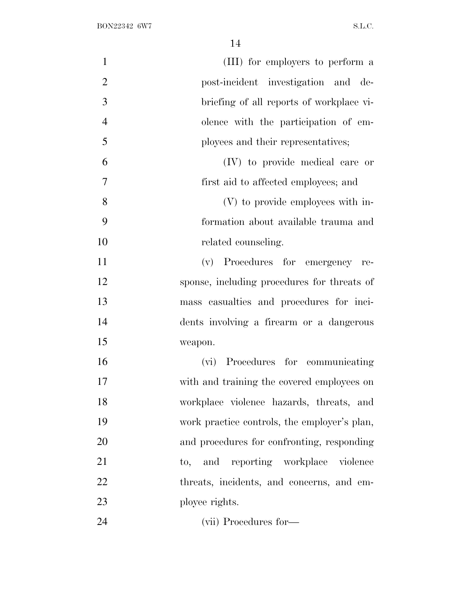| $\mathbf{1}$   | (III) for employers to perform a                   |
|----------------|----------------------------------------------------|
| $\overline{2}$ | post-incident investigation and de-                |
| 3              | briefing of all reports of workplace vi-           |
| $\overline{4}$ | olence with the participation of em-               |
| 5              | ployees and their representatives;                 |
| 6              | (IV) to provide medical care or                    |
| $\overline{7}$ | first aid to affected employees; and               |
| 8              | (V) to provide employees with in-                  |
| 9              | formation about available trauma and               |
| 10             | related counseling.                                |
| 11             | (v) Procedures for emergency re-                   |
| 12             | sponse, including procedures for threats of        |
| 13             | mass casualties and procedures for inci-           |
| 14             | dents involving a firearm or a dangerous           |
| 15             | weapon.                                            |
| 16             | (vi) Procedures for communicating                  |
| 17             | with and training the covered employees on         |
| 18             | workplace violence hazards, threats, and           |
| 19             | work practice controls, the employer's plan,       |
| 20             | and procedures for confronting, responding         |
| 21             | and reporting workplace violence<br>$\mathrm{to},$ |
| 22             | threats, incidents, and concerns, and em-          |
| 23             | ployee rights.                                     |
| 24             | (vii) Procedures for-                              |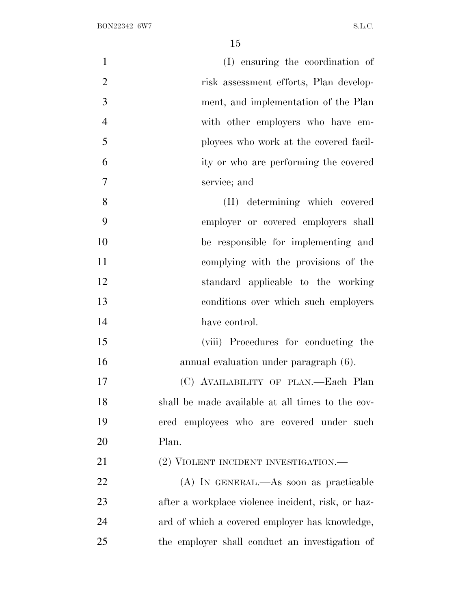| $\mathbf{1}$   | (I) ensuring the coordination of                   |
|----------------|----------------------------------------------------|
| $\overline{2}$ | risk assessment efforts, Plan develop-             |
| 3              | ment, and implementation of the Plan               |
| $\overline{4}$ | with other employers who have em-                  |
| 5              | ployees who work at the covered facil-             |
| 6              | ity or who are performing the covered              |
| 7              | service; and                                       |
| 8              | (II) determining which covered                     |
| 9              | employer or covered employers shall                |
| 10             | be responsible for implementing and                |
| 11             | complying with the provisions of the               |
| 12             | standard applicable to the working                 |
| 13             | conditions over which such employers               |
| 14             | have control.                                      |
| 15             | (viii) Procedures for conducting the               |
| 16             | annual evaluation under paragraph (6).             |
| 17             | (C) AVAILABILITY OF PLAN.—Each Plan                |
| 18             | shall be made available at all times to the cov-   |
| 19             | ered employees who are covered under such          |
| 20             | Plan.                                              |
| 21             | (2) VIOLENT INCIDENT INVESTIGATION.—               |
| 22             | (A) IN GENERAL.—As soon as practicable             |
| 23             | after a workplace violence incident, risk, or haz- |
| 24             | ard of which a covered employer has knowledge,     |
| 25             | the employer shall conduct an investigation of     |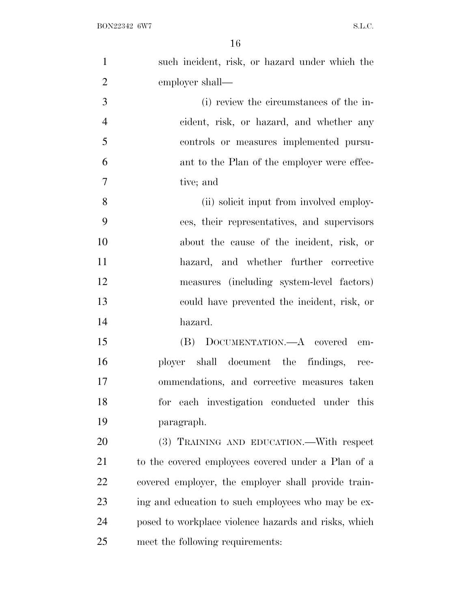| $\mathbf{1}$   | such incident, risk, or hazard under which the       |
|----------------|------------------------------------------------------|
| $\overline{2}$ | employer shall—                                      |
| 3              | (i) review the circumstances of the in-              |
| $\overline{4}$ | cident, risk, or hazard, and whether any             |
| 5              | controls or measures implemented pursu-              |
| 6              | ant to the Plan of the employer were effec-          |
| 7              | tive; and                                            |
| 8              | (ii) solicit input from involved employ-             |
| 9              | ees, their representatives, and supervisors          |
| 10             | about the cause of the incident, risk, or            |
| 11             | hazard, and whether further corrective               |
| 12             | measures (including system-level factors)            |
| 13             | could have prevented the incident, risk, or          |
| 14             | hazard.                                              |
| 15             | (B) DOCUMENTATION.—A covered em-                     |
| 16             | ployer shall document the findings, rec-             |
| 17             | ommendations, and corrective measures taken          |
| 18             | for each investigation conducted under this          |
| 19             | paragraph.                                           |
| 20             | (3) TRAINING AND EDUCATION.—With respect             |
| 21             | to the covered employees covered under a Plan of a   |
| 22             | covered employer, the employer shall provide train-  |
| 23             | ing and education to such employees who may be ex-   |
| 24             | posed to workplace violence hazards and risks, which |
| 25             | meet the following requirements:                     |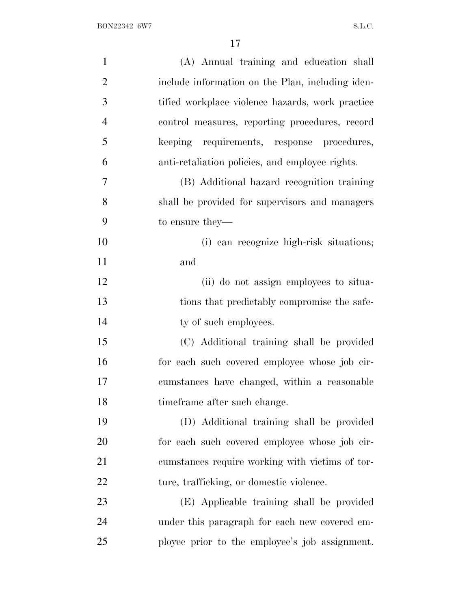| $\mathbf{1}$   | (A) Annual training and education shall          |
|----------------|--------------------------------------------------|
| $\overline{2}$ | include information on the Plan, including iden- |
| 3              | tified workplace violence hazards, work practice |
| $\overline{4}$ | control measures, reporting procedures, record   |
| 5              | keeping requirements, response procedures,       |
| 6              | anti-retaliation policies, and employee rights.  |
| $\overline{7}$ | (B) Additional hazard recognition training       |
| 8              | shall be provided for supervisors and managers   |
| 9              | to ensure they—                                  |
| 10             | (i) can recognize high-risk situations;          |
| 11             | and                                              |
| 12             | (ii) do not assign employees to situa-           |
| 13             | tions that predictably compromise the safe-      |
| 14             | ty of such employees.                            |
| 15             | (C) Additional training shall be provided        |
| 16             | for each such covered employee whose job cir-    |
| 17             | cumstances have changed, within a reasonable     |
| 18             | time frame after such change.                    |
| 19             | (D) Additional training shall be provided        |
| 20             | for each such covered employee whose job cir-    |
| 21             | cumstances require working with victims of tor-  |
| 22             | ture, trafficking, or domestic violence.         |
| 23             | (E) Applicable training shall be provided        |
| 24             | under this paragraph for each new covered em-    |
| 25             | ployee prior to the employee's job assignment.   |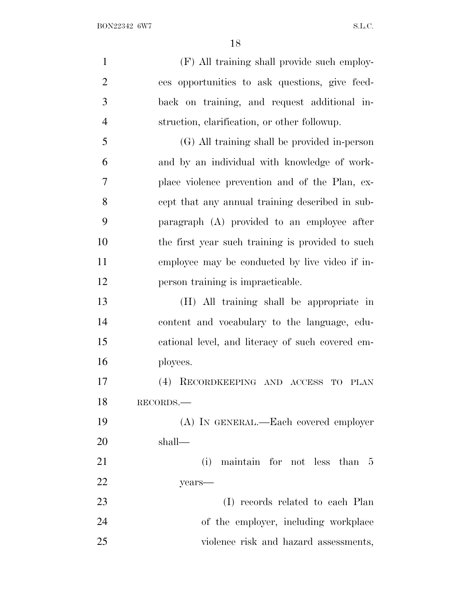| $\mathbf{1}$   | (F) All training shall provide such employ-      |
|----------------|--------------------------------------------------|
| $\overline{2}$ | ees opportunities to ask questions, give feed-   |
| 3              | back on training, and request additional in-     |
| $\overline{4}$ | struction, clarification, or other followup.     |
| 5              | (G) All training shall be provided in-person     |
| 6              | and by an individual with knowledge of work-     |
| 7              | place violence prevention and of the Plan, ex-   |
| 8              | cept that any annual training described in sub-  |
| 9              | paragraph (A) provided to an employee after      |
| 10             | the first year such training is provided to such |
| 11             |                                                  |
|                | employee may be conducted by live video if in-   |
| 12             | person training is impracticable.                |
| 13             | (H) All training shall be appropriate in         |
| 14             | content and vocabulary to the language, edu-     |
| 15             | cational level, and literacy of such covered em- |
| 16             | ployees.                                         |
| 17             | (4) RECORDKEEPING AND ACCESS TO<br><b>PLAN</b>   |
| 18             | RECORDS.                                         |
| 19             | (A) IN GENERAL.—Each covered employer            |
| 20             | shall—                                           |
| 21             | (i) maintain for not less than 5                 |
| 22             | years-                                           |
| 23             | (I) records related to each Plan                 |
| 24             | of the employer, including workplace             |
| 25             | violence risk and hazard assessments,            |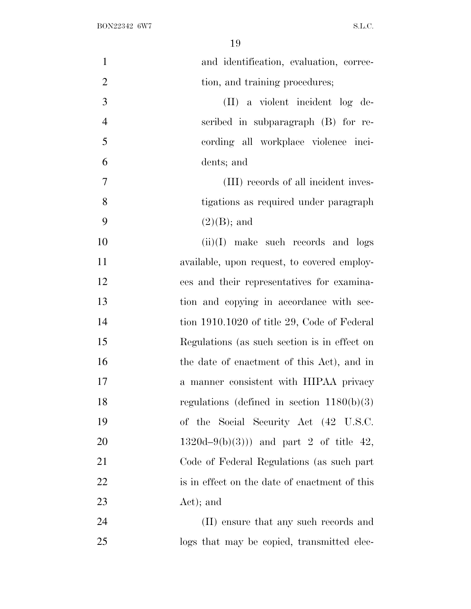| $\mathbf{1}$   | and identification, evaluation, correc-        |
|----------------|------------------------------------------------|
| $\mathbf{2}$   | tion, and training procedures;                 |
| 3              | (II) a violent incident log de-                |
| $\overline{4}$ | scribed in subparagraph (B) for re-            |
| 5              | cording all workplace violence inci-           |
| 6              | dents; and                                     |
| $\overline{7}$ | (III) records of all incident inves-           |
| 8              | tigations as required under paragraph          |
| 9              | $(2)(B)$ ; and                                 |
| 10             | $(ii)(I)$ make such records and logs           |
| 11             | available, upon request, to covered employ-    |
| 12             | ees and their representatives for examina-     |
| 13             | tion and copying in accordance with sec-       |
| 14             | tion 1910.1020 of title 29, Code of Federal    |
| 15             | Regulations (as such section is in effect on   |
| 16             | the date of enactment of this Act), and in     |
| 17             | a manner consistent with HIPAA privacy         |
| 18             | regulations (defined in section $1180(b)(3)$ ) |
| 19             | of the Social Security Act (42 U.S.C.          |
| 20             | $1320d-9(b)(3))$ and part 2 of title 42,       |
| 21             | Code of Federal Regulations (as such part      |
| 22             | is in effect on the date of enactment of this  |
| 23             | Act); and                                      |
| 24             | (II) ensure that any such records and          |
| 25             | logs that may be copied, transmitted elec-     |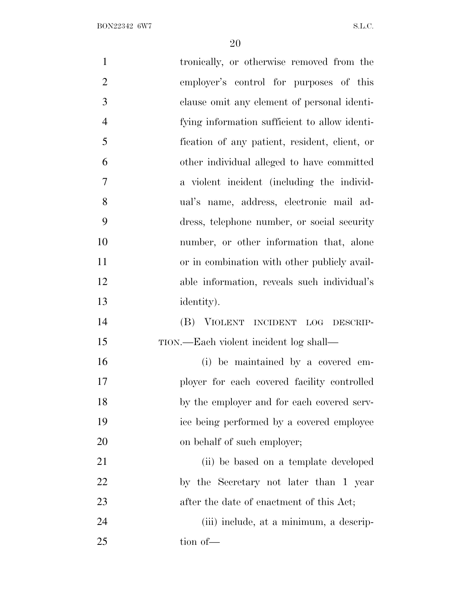BON22342 6W7 S.L.C.

| $\mathbf{1}$   | tronically, or otherwise removed from the     |
|----------------|-----------------------------------------------|
| $\overline{2}$ | employer's control for purposes of this       |
| 3              | clause omit any element of personal identi-   |
| $\overline{4}$ | fying information sufficient to allow identi- |
| 5              | fication of any patient, resident, client, or |
| 6              | other individual alleged to have committed    |
| 7              | a violent incident (including the individ-    |
| 8              | ual's name, address, electronic mail ad-      |
| 9              | dress, telephone number, or social security   |
| 10             | number, or other information that, alone      |
| 11             | or in combination with other publicly avail-  |
| 12             | able information, reveals such individual's   |
| 13             | identity).                                    |
| 14             | (B) VIOLENT INCIDENT LOG DESCRIP-             |
| 15             | TION.—Each violent incident log shall—        |
| 16             | (i) be maintained by a covered em-            |
| 17             | ployer for each covered facility controlled   |
| 18             | by the employer and for each covered serv-    |
| 19             | ice being performed by a covered employee     |
| 20             | on behalf of such employer;                   |
| 21             | (ii) be based on a template developed         |
| 22             | by the Secretary not later than 1 year        |
| 23             | after the date of enactment of this Act;      |
| 24             | (iii) include, at a minimum, a descrip-       |
| 25             | tion of-                                      |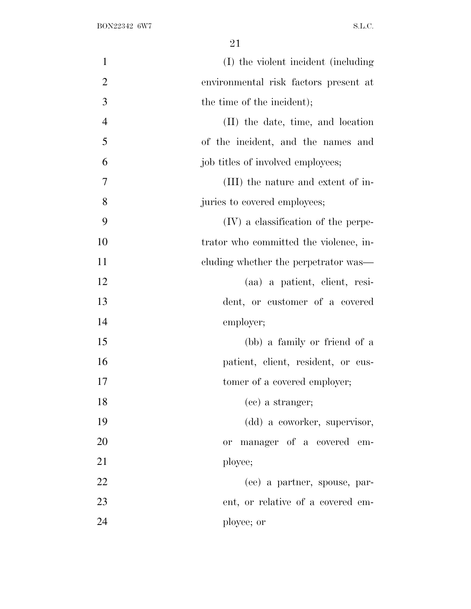| $\mathbf{1}$   | (I) the violent incident (including    |
|----------------|----------------------------------------|
| $\overline{2}$ | environmental risk factors present at  |
| $\overline{3}$ | the time of the incident);             |
| $\overline{4}$ | (II) the date, time, and location      |
| 5              | of the incident, and the names and     |
| 6              | job titles of involved employees;      |
| $\overline{7}$ | (III) the nature and extent of in-     |
| 8              | juries to covered employees;           |
| 9              | (IV) a classification of the perpe-    |
| 10             | trator who committed the violence, in- |
| 11             | cluding whether the perpetrator was—   |
| 12             | (aa) a patient, client, resi-          |
| 13             | dent, or customer of a covered         |
| 14             | employer;                              |
| 15             | (bb) a family or friend of a           |
| 16             | patient, client, resident, or cus-     |
| 17             | tomer of a covered employer;           |
| 18             | (cc) a stranger;                       |
| 19             | (dd) a coworker, supervisor,           |
| 20             | manager of a covered em-<br><b>or</b>  |
| 21             | ployee;                                |
| 22             | (ee) a partner, spouse, par-           |
| 23             | ent, or relative of a covered em-      |
| 24             | ployee; or                             |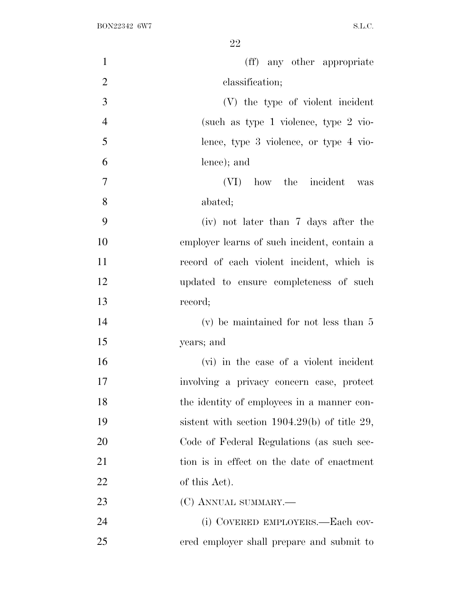| $\mathbf{1}$   | (ff) any other appropriate                     |
|----------------|------------------------------------------------|
| $\overline{2}$ | classification;                                |
| 3              | (V) the type of violent incident               |
| $\overline{4}$ | (such as type 1 violence, type $2$ vio-        |
| 5              | lence, type 3 violence, or type 4 vio-         |
| 6              | lence); and                                    |
| $\overline{7}$ | (VI) how the incident was                      |
| 8              | abated;                                        |
| 9              | (iv) not later than 7 days after the           |
| 10             | employer learns of such incident, contain a    |
| 11             | record of each violent incident, which is      |
| 12             | updated to ensure completeness of such         |
| 13             | record;                                        |
| 14             | $(v)$ be maintained for not less than 5        |
| 15             | years; and                                     |
| 16             | (vi) in the case of a violent incident         |
| 17             | involving a privacy concern case, protect      |
| 18             | the identity of employees in a manner con-     |
| 19             | sistent with section $1904.29(b)$ of title 29, |
| 20             | Code of Federal Regulations (as such sec-      |
| 21             | tion is in effect on the date of enactment     |
| 22             | of this Act).                                  |
| 23             | (C) ANNUAL SUMMARY.—                           |
| 24             | (i) COVERED EMPLOYERS.—Each cov-               |
| 25             | ered employer shall prepare and submit to      |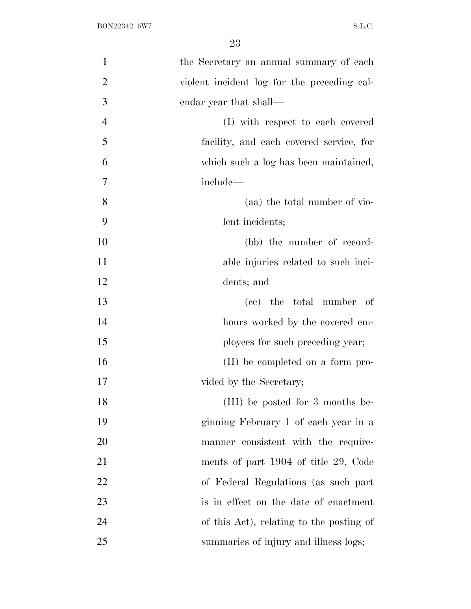| $\mathbf{1}$   | the Secretary an annual summary of each     |
|----------------|---------------------------------------------|
| $\overline{2}$ | violent incident log for the preceding cal- |
| 3              | endar year that shall—                      |
| $\overline{4}$ | (I) with respect to each covered            |
| 5              | facility, and each covered service, for     |
| 6              | which such a log has been maintained,       |
| 7              | include—                                    |
| 8              | (aa) the total number of vio-               |
| 9              | lent incidents;                             |
| 10             | (bb) the number of record-                  |
| 11             | able injuries related to such inci-         |
| 12             | dents; and                                  |
| 13             | (cc) the total number of                    |
| 14             | hours worked by the covered em-             |
| 15             | ployees for such preceding year;            |
| 16             | (II) be completed on a form pro-            |
| 17             | vided by the Secretary;                     |
| 18             | (III) be posted for 3 months be-            |
| 19             | ginning February 1 of each year in a        |
| 20             | manner consistent with the require-         |
| 21             | ments of part 1904 of title 29, Code        |
| 22             | of Federal Regulations (as such part        |
| 23             | is in effect on the date of enactment       |
| 24             | of this Act), relating to the posting of    |
| 25             | summaries of injury and illness logs;       |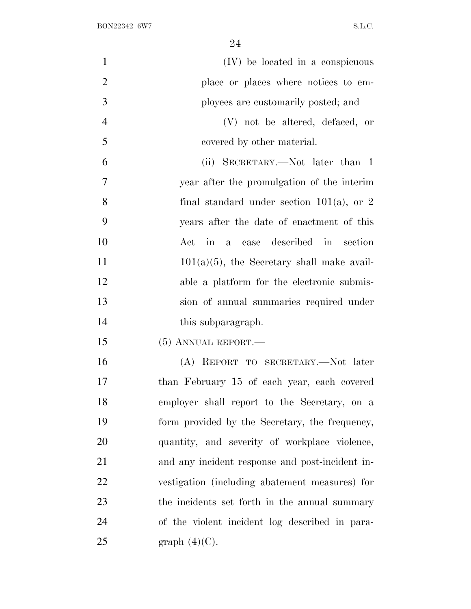| $\mathbf{1}$   | (IV) be located in a conspicuous                |
|----------------|-------------------------------------------------|
| $\overline{2}$ | place or places where notices to em-            |
| 3              | ployees are customarily posted; and             |
| $\overline{4}$ | (V) not be altered, defaced, or                 |
| 5              | covered by other material.                      |
| 6              | (ii) SECRETARY.—Not later than 1                |
| $\overline{7}$ | year after the promulgation of the interim      |
| 8              | final standard under section $101(a)$ , or 2    |
| 9              | years after the date of enactment of this       |
| 10             | Act in a case described in section              |
| 11             | $101(a)(5)$ , the Secretary shall make avail-   |
| 12             | able a platform for the electronic submis-      |
| 13             | sion of annual summaries required under         |
| 14             | this subparagraph.                              |
| 15             | $(5)$ ANNUAL REPORT.—                           |
| 16             | (A) REPORT TO SECRETARY.—Not later              |
| 17             | than February 15 of each year, each covered     |
| 18             | employer shall report to the Secretary, on a    |
| 19             | form provided by the Secretary, the frequency,  |
| 20             | quantity, and severity of workplace violence,   |
| 21             | and any incident response and post-incident in- |
| 22             | vestigation (including abatement measures) for  |
| 23             | the incidents set forth in the annual summary   |
| 24             | of the violent incident log described in para-  |
| 25             | graph $(4)(C)$ .                                |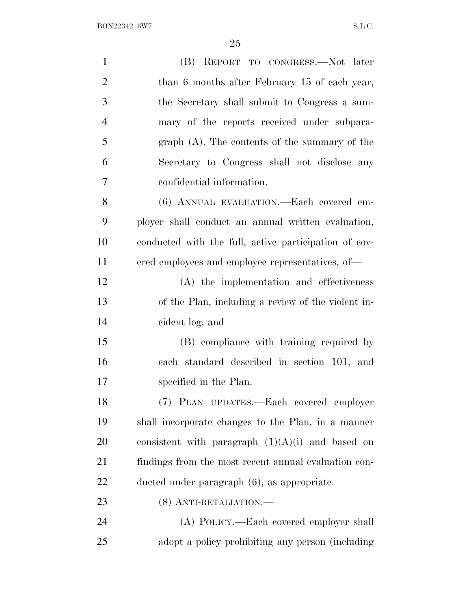BON22342 6W7 S.L.C.

| $\mathbf{1}$   | (B) REPORT TO CONGRESS.—Not later                     |
|----------------|-------------------------------------------------------|
| $\overline{2}$ | than 6 months after February 15 of each year,         |
| 3              | the Secretary shall submit to Congress a sum-         |
| $\overline{4}$ | mary of the reports received under subpara-           |
| 5              | $graph(A)$ . The contents of the summary of the       |
| 6              | Secretary to Congress shall not disclose any          |
| 7              | confidential information.                             |
| 8              | (6) ANNUAL EVALUATION.—Each covered em-               |
| 9              | ployer shall conduct an annual written evaluation,    |
| 10             | conducted with the full, active participation of cov- |
| 11             | ered employees and employee representatives, of—      |
| 12             | (A) the implementation and effectiveness              |
| 13             | of the Plan, including a review of the violent in-    |
| 14             | cident log; and                                       |
| 15             | (B) compliance with training required by              |
| 16             | each standard described in section 101, and           |
| 17             | specified in the Plan.                                |
| 18             | (7) PLAN UPDATES.—Each covered employer               |
| 19             | shall incorporate changes to the Plan, in a manner    |
| 20             | consistent with paragraph $(1)(A)(i)$ and based on    |
| 21             | findings from the most recent annual evaluation con-  |
| 22             | ducted under paragraph (6), as appropriate.           |
| 23             | (8) ANTI-RETALIATION.—                                |
| 24             | (A) POLICY.—Each covered employer shall               |
| 25             | adopt a policy prohibiting any person (including)     |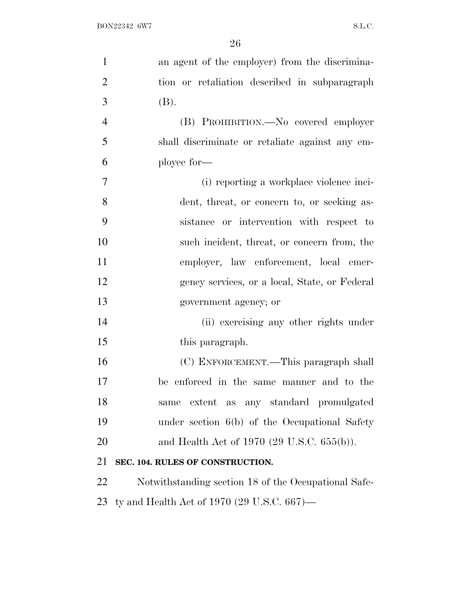| $\mathbf{1}$   | an agent of the employer) from the discrimina-       |
|----------------|------------------------------------------------------|
| $\overline{2}$ | tion or retaliation described in subparagraph        |
| 3              | (B).                                                 |
| $\overline{4}$ | (B) PROHIBITION.—No covered employer                 |
| 5              | shall discriminate or retaliate against any em-      |
| 6              | ployee for-                                          |
| 7              | (i) reporting a workplace violence inci-             |
| 8              | dent, threat, or concern to, or seeking as-          |
| 9              | sistance or intervention with respect to             |
| 10             | such incident, threat, or concern from, the          |
| 11             | employer, law enforcement, local emer-               |
| 12             | gency services, or a local, State, or Federal        |
| 13             | government agency; or                                |
| 14             | (ii) exercising any other rights under               |
| 15             | this paragraph.                                      |
| 16             | (C) ENFORCEMENT.—This paragraph shall                |
| 17             | be enforced in the same manner and to the            |
| 18             | extent as any standard promulgated<br>same           |
| 19             | under section 6(b) of the Occupational Safety        |
| 20             | and Health Act of 1970 (29 U.S.C. $655(b)$ ).        |
| 21             | SEC. 104. RULES OF CONSTRUCTION.                     |
| 22             | Notwithstanding section 18 of the Occupational Safe- |
| 23             | ty and Health Act of 1970 (29 U.S.C. 667)—           |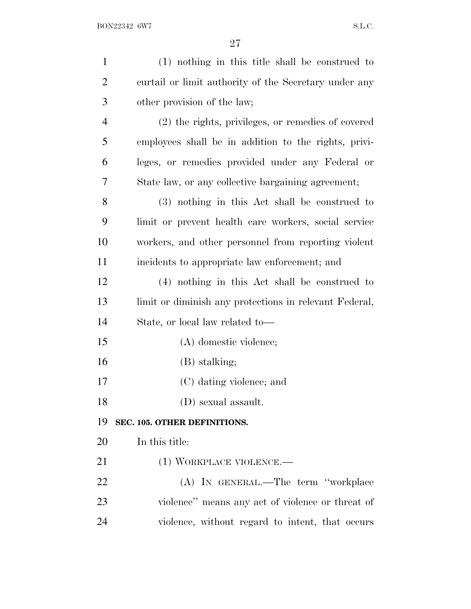| $\mathbf{1}$   | $(1)$ nothing in this title shall be construed to      |
|----------------|--------------------------------------------------------|
| $\overline{2}$ | curtail or limit authority of the Secretary under any  |
| 3              | other provision of the law;                            |
| 4              | (2) the rights, privileges, or remedies of covered     |
| 5              | employees shall be in addition to the rights, privi-   |
| 6              | leges, or remedies provided under any Federal or       |
| 7              | State law, or any collective bargaining agreement;     |
| 8              | (3) nothing in this Act shall be construed to          |
| 9              | limit or prevent health care workers, social service   |
| 10             | workers, and other personnel from reporting violent    |
| 11             | incidents to appropriate law enforcement; and          |
| 12             | (4) nothing in this Act shall be construed to          |
| 13             | limit or diminish any protections in relevant Federal, |
| 14             | State, or local law related to—                        |
| 15             | (A) domestic violence;                                 |
| 16             | (B) stalking;                                          |
| 17             | (C) dating violence; and                               |
| 18             | (D) sexual assault.                                    |
| 19             | SEC. 105. OTHER DEFINITIONS.                           |
| 20             | In this title:                                         |
| 21             | (1) WORKPLACE VIOLENCE.—                               |
| 22             | (A) IN GENERAL.—The term "workplace                    |
| 23             | violence" means any act of violence or threat of       |
| 24             | violence, without regard to intent, that occurs        |
|                |                                                        |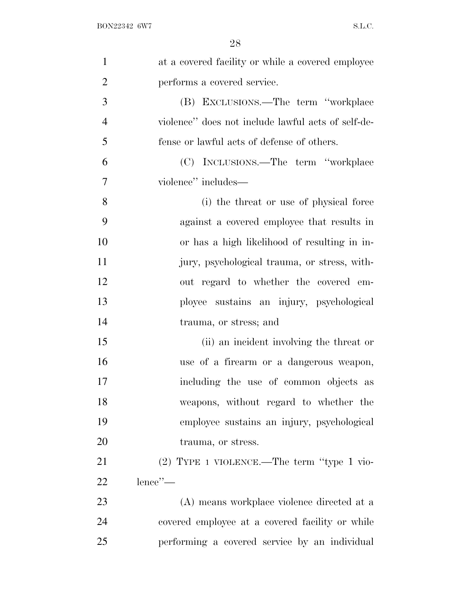| $\mathbf{1}$   | at a covered facility or while a covered employee  |
|----------------|----------------------------------------------------|
| $\overline{2}$ | performs a covered service.                        |
| 3              | (B) EXCLUSIONS.—The term "workplace                |
| $\overline{4}$ | violence" does not include lawful acts of self-de- |
| 5              | fense or lawful acts of defense of others.         |
| 6              | (C) INCLUSIONS.—The term "workplace                |
| 7              | violence" includes—                                |
| 8              | (i) the threat or use of physical force            |
| 9              | against a covered employee that results in         |
| 10             | or has a high likelihood of resulting in in-       |
| 11             | jury, psychological trauma, or stress, with-       |
| 12             | out regard to whether the covered em-              |
| 13             | ployee sustains an injury, psychological           |
| 14             | trauma, or stress; and                             |
| 15             | (ii) an incident involving the threat or           |
| 16             | use of a firearm or a dangerous weapon,            |
| 17             | including the use of common objects as             |
| 18             | weapons, without regard to whether the             |
| 19             | employee sustains an injury, psychological         |
| 20             | trauma, or stress.                                 |
| 21             | $(2)$ TYPE 1 VIOLENCE.—The term "type 1 vio-       |
| 22             | lence'                                             |
| 23             | (A) means workplace violence directed at a         |
| 24             | covered employee at a covered facility or while    |
| 25             | performing a covered service by an individual      |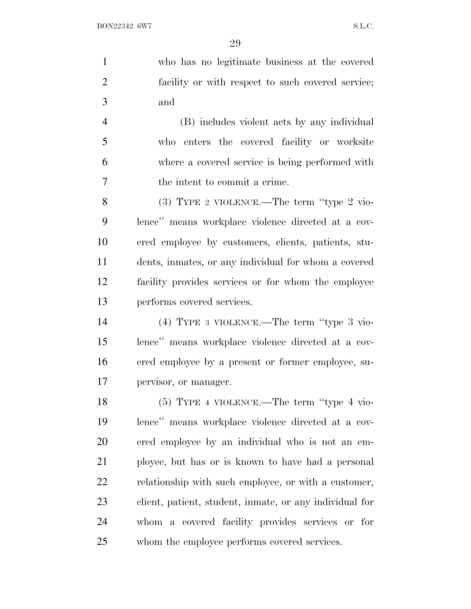who has no legitimate business at the covered facility or with respect to such covered service; and

 (B) includes violent acts by any individual who enters the covered facility or worksite where a covered service is being performed with the intent to commit a crime.

 (3) TYPE 2 VIOLENCE.—The term ''type 2 vio- lence'' means workplace violence directed at a cov- ered employee by customers, clients, patients, stu- dents, inmates, or any individual for whom a covered facility provides services or for whom the employee performs covered services.

 (4) TYPE 3 VIOLENCE.—The term ''type 3 vio- lence'' means workplace violence directed at a cov- ered employee by a present or former employee, su-pervisor, or manager.

 (5) TYPE 4 VIOLENCE.—The term ''type 4 vio- lence'' means workplace violence directed at a cov- ered employee by an individual who is not an em- ployee, but has or is known to have had a personal relationship with such employee, or with a customer, client, patient, student, inmate, or any individual for whom a covered facility provides services or for whom the employee performs covered services.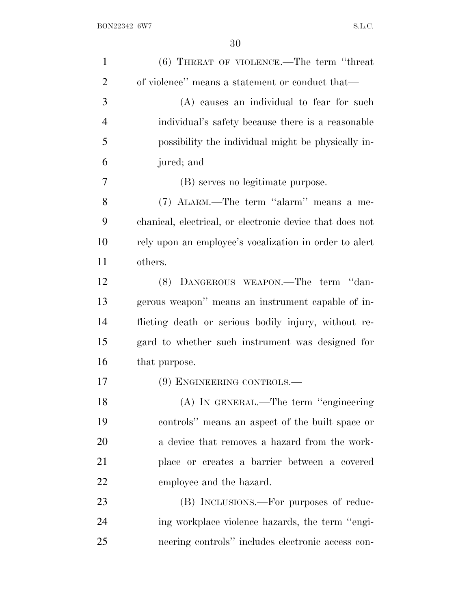| $\mathbf{1}$   | $(6)$ THREAT OF VIOLENCE.—The term "threat"              |
|----------------|----------------------------------------------------------|
| $\overline{2}$ | of violence" means a statement or conduct that—          |
| 3              | (A) causes an individual to fear for such                |
| $\overline{4}$ | individual's safety because there is a reasonable        |
| 5              | possibility the individual might be physically in-       |
| 6              | jured; and                                               |
| 7              | (B) serves no legitimate purpose.                        |
| 8              | (7) ALARM.—The term "alarm" means a me-                  |
| 9              | chanical, electrical, or electronic device that does not |
| 10             | rely upon an employee's vocalization in order to alert   |
| 11             | others.                                                  |
| 12             | (8) DANGEROUS WEAPON.—The term "dan-                     |
| 13             | gerous weapon" means an instrument capable of in-        |
| 14             | flicting death or serious bodily injury, without re-     |
| 15             | gard to whether such instrument was designed for         |
| 16             | that purpose.                                            |
| 17             | (9) ENGINEERING CONTROLS.—                               |
| 18             | (A) IN GENERAL.—The term "engineering                    |
| 19             | controls" means an aspect of the built space or          |
| 20             | a device that removes a hazard from the work-            |
| 21             | place or creates a barrier between a covered             |
| 22             | employee and the hazard.                                 |
| 23             | (B) INCLUSIONS.—For purposes of reduc-                   |
| 24             | ing workplace violence hazards, the term "engi-          |
| 25             | neering controls" includes electronic access con-        |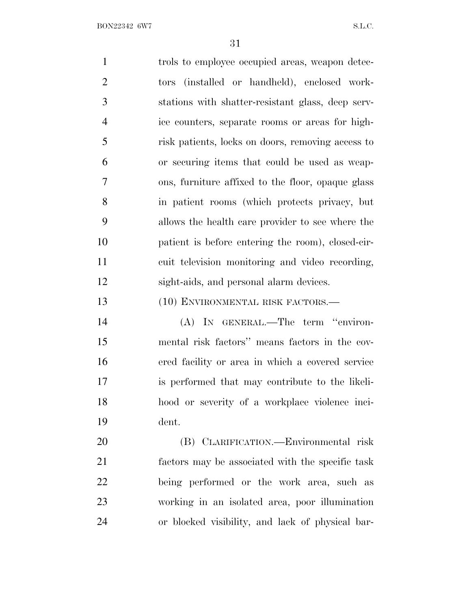1 trols to employee occupied areas, weapon detec- tors (installed or handheld), enclosed work- stations with shatter-resistant glass, deep serv- ice counters, separate rooms or areas for high- risk patients, locks on doors, removing access to or securing items that could be used as weap- ons, furniture affixed to the floor, opaque glass in patient rooms (which protects privacy, but allows the health care provider to see where the patient is before entering the room), closed-cir- cuit television monitoring and video recording, sight-aids, and personal alarm devices. 13 (10) ENVIRONMENTAL RISK FACTORS.— (A) IN GENERAL.—The term ''environ- mental risk factors'' means factors in the cov- ered facility or area in which a covered service is performed that may contribute to the likeli- hood or severity of a workplace violence inci- dent. (B) CLARIFICATION.—Environmental risk factors may be associated with the specific task being performed or the work area, such as working in an isolated area, poor illumination

or blocked visibility, and lack of physical bar-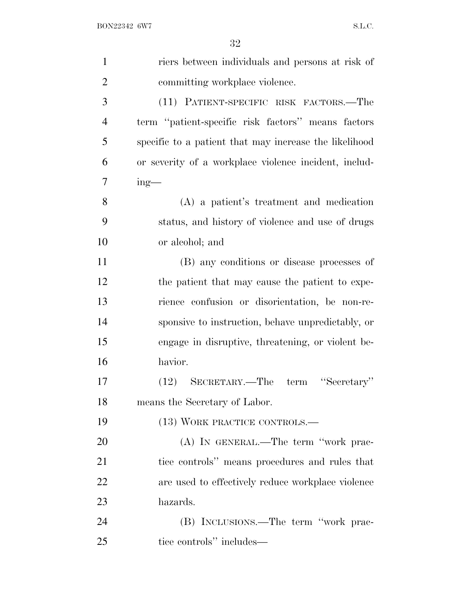| $\mathbf{1}$   | riers between individuals and persons at risk of       |
|----------------|--------------------------------------------------------|
| $\overline{2}$ | committing workplace violence.                         |
| 3              | (11) PATIENT-SPECIFIC RISK FACTORS.—The                |
| $\overline{4}$ | term "patient-specific risk factors" means factors     |
| 5              | specific to a patient that may increase the likelihood |
| 6              | or severity of a workplace violence incident, includ-  |
| 7              | $ing$ —                                                |
| 8              | (A) a patient's treatment and medication               |
| 9              | status, and history of violence and use of drugs       |
| 10             | or alcohol; and                                        |
| 11             | (B) any conditions or disease processes of             |
| 12             | the patient that may cause the patient to expe-        |
| 13             | rience confusion or disorientation, be non-re-         |
| 14             | sponsive to instruction, behave unpredictably, or      |
| 15             | engage in disruptive, threatening, or violent be-      |
| 16             | havior.                                                |
| 17             | "Secretary"<br>SECRETARY.—The term<br>(12)             |
| 18             | means the Secretary of Labor.                          |
| 19             | (13) WORK PRACTICE CONTROLS.—                          |
| 20             | (A) IN GENERAL.—The term "work prac-                   |
| 21             | tice controls" means procedures and rules that         |
| 22             | are used to effectively reduce workplace violence      |
| 23             | hazards.                                               |
| 24             | (B) INCLUSIONS.—The term "work prac-                   |
| 25             | tice controls" includes—                               |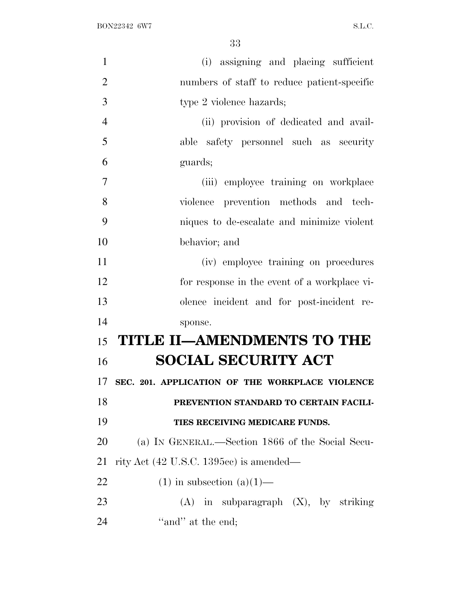| $\mathbf{1}$   | (i) assigning and placing sufficient              |
|----------------|---------------------------------------------------|
| $\overline{2}$ | numbers of staff to reduce patient-specific       |
| 3              | type 2 violence hazards;                          |
| $\overline{4}$ | (ii) provision of dedicated and avail-            |
| 5              | able safety personnel such as security            |
| 6              | guards;                                           |
| 7              | (iii) employee training on workplace              |
| 8              | violence prevention methods and tech-             |
| 9              | niques to de-escalate and minimize violent        |
| 10             | behavior; and                                     |
| 11             | (iv) employee training on procedures              |
| 12             | for response in the event of a workplace vi-      |
| 13             | olence incident and for post-incident re-         |
| 14             | sponse.                                           |
| 15             | <b>TITLE II-AMENDMENTS TO THE</b>                 |
| 16             | <b>SOCIAL SECURITY ACT</b>                        |
| 17             | SEC. 201. APPLICATION OF THE WORKPLACE VIOLENCE   |
| 18             | PREVENTION STANDARD TO CERTAIN FACILI-            |
| 19             | TIES RECEIVING MEDICARE FUNDS.                    |
| 20             | (a) IN GENERAL.—Section 1866 of the Social Secu-  |
| 21             | rity Act $(42 \text{ U.S.C. } 1395c)$ is amended— |
| 22             | $(1)$ in subsection $(a)(1)$ —                    |
| 23             | $(A)$ in subparagraph $(X)$ , by striking         |
| 24             | "and" at the end;                                 |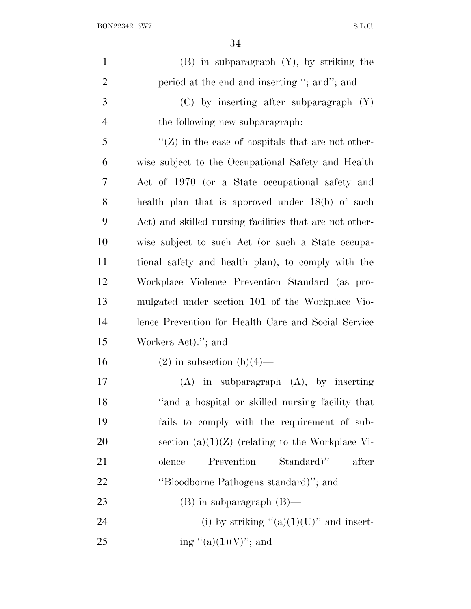BON22342 6W7 S.L.C.

| $\mathbf{1}$   | $(B)$ in subparagraph $(Y)$ , by striking the           |
|----------------|---------------------------------------------------------|
| $\overline{2}$ | period at the end and inserting "; and"; and            |
| 3              | $(C)$ by inserting after subparagraph $(Y)$             |
| $\overline{4}$ | the following new subparagraph.                         |
| 5              | $\lq (Z)$ in the case of hospitals that are not other-  |
| 6              | wise subject to the Occupational Safety and Health      |
| 7              | Act of 1970 (or a State occupational safety and         |
| 8              | health plan that is approved under $18(b)$ of such      |
| 9              | Act) and skilled nursing facilities that are not other- |
| 10             | wise subject to such Act (or such a State occupa-       |
| 11             | tional safety and health plan), to comply with the      |
| 12             | Workplace Violence Prevention Standard (as pro-         |
| 13             | mulgated under section 101 of the Workplace Vio-        |
| 14             | lence Prevention for Health Care and Social Service     |
| 15             | Workers Act)."; and                                     |
| 16             | $(2)$ in subsection $(b)(4)$ —                          |
| 17             | $(A)$ in subparagraph $(A)$ , by inserting              |
| 18             | "and a hospital or skilled nursing facility that        |
| 19             | fails to comply with the requirement of sub-            |
| 20             | section $(a)(1)(Z)$ (relating to the Workplace Vi-      |
| 21             | Prevention<br>Standard)"<br>after<br>olence             |
| 22             | "Bloodborne Pathogens standard)"; and                   |
| 23             | $(B)$ in subparagraph $(B)$ —                           |
| 24             | (i) by striking " $(a)(1)(U)$ " and insert-             |
| 25             | ing "(a) $(1)(V)$ "; and                                |